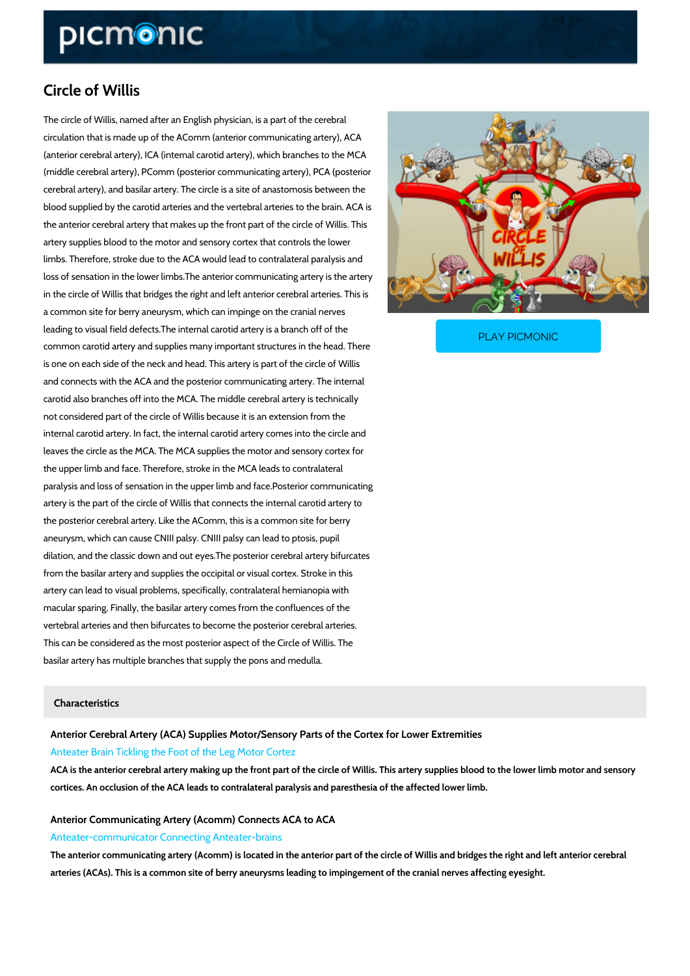# Circle of Willis

The circle of Willis, named after an English physician, is a part of the cerebral circulation that is made up of the AComm (anterior communicating artery), ACA (anterior cerebral artery), ICA (internal carotid artery), which branches to the MCA (middle cerebral artery), PComm (posterior communicating artery), PCA (posterior cerebral artery), and basilar artery. The circle is a site of anastomosis between the blood supplied by the carotid arteries and the vertebral arteries to the brain. ACA is the anterior cerebral artery that makes up the front part of the circle of Willis. This artery supplies blood to the motor and sensory cortex that controls the lower limbs. Therefore, stroke due to the ACA would lead to contralateral paralysis and loss of sensation in the lower limbs.The anterior communicating artery is the artery in the circle of Willis that bridges the right and left anterior cerebral arteries. This is a common site for berry aneurysm, which can impinge on the cranial nerves

leading to visual field defects. The internal carotid artery common carotid artery and supplies many important struct

#### PLAY PICMONIC

is one on each side of the neck and head. This artery is part of the circle of Willis and connects with the ACA and the posterior communicating artery. The internal carotid also branches off into the MCA. The middle cerebral artery is technically not considered part of the circle of Willis because it is an extension from the internal carotid artery. In fact, the internal carotid artery comes into the circle and leaves the circle as the MCA. The MCA supplies the motor and sensory cortex for the upper limb and face. Therefore, stroke in the MCA leads to contralateral paralysis and loss of sensation in the upper limb and face.Posterior communicating artery is the part of the circle of Willis that connects the internal carotid artery to the posterior cerebral artery. Like the AComm, this is a common site for berry aneurysm, which can cause CNIII palsy. CNIII palsy can lead to ptosis, pupil dilation, and the classic down and out eyes.The posterior cerebral artery bifurcates from the basilar artery and supplies the occipital or visual cortex. Stroke in this artery can lead to visual problems, specifically, contralateral hemianopia with macular sparing. Finally, the basilar artery comes from the confluences of the vertebral arteries and then bifurcates to become the posterior cerebral arteries. This can be considered as the most posterior aspect of the Circle of Willis. The basilar artery has multiple branches that supply the pons and medulla.

#### Characteristics

Anterior Cerebral Artery (ACA) Supplies Motor/Sensory Parts of the Cortex for Lower Anteater Brain Tickling the Foot of the Leg Motor Cortez

ACA is the anterior cerebral artery making up the front part of the circle of Willis. This artery cortices. An occlusion of the ACA leads to contralateral paralysis and paresthesia of the affe

## Anterior Communicating Artery (Acomm) Connects ACA to ACA Anteater-communicator Connecting Anteater-brains

The anterior communicating artery (Acomm) is located in the anterior part of the circle of Will arteries (ACAs). This is a common site of berry aneurysms leading to impingement of the cran